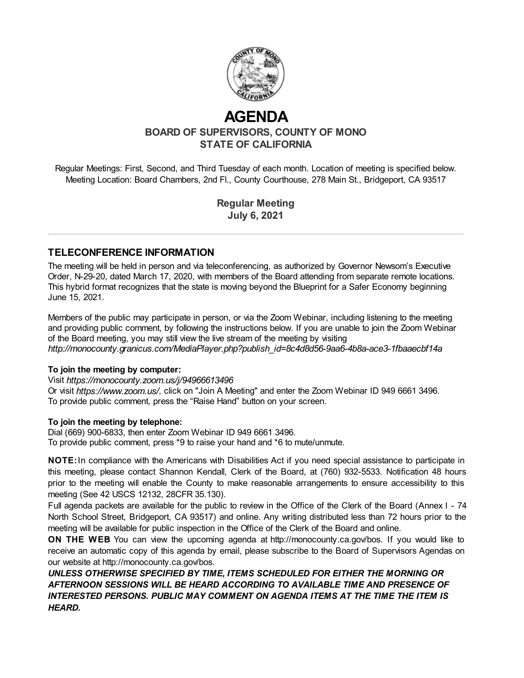

# **AGENDA**

**BOARD OF SUPERVISORS, COUNTY OF MONO STATE OF CALIFORNIA**

Regular Meetings: First, Second, and Third Tuesday of each month. Location of meeting is specified below. Meeting Location: Board Chambers, 2nd Fl., County Courthouse, 278 Main St., Bridgeport, CA 93517

> **Regular Meeting July 6, 2021**

#### **TELECONFERENCE INFORMATION**

The meeting will be held in person and via teleconferencing, as authorized by Governor Newsom's Executive Order, N-29-20, dated March 17, 2020, with members of the Board attending from separate remote locations. This hybrid format recognizes that the state is moving beyond the Blueprint for a Safer Economy beginning June 15, 2021.

Members of the public may participate in person, or via the Zoom Webinar, including listening to the meeting and providing public comment, by following the instructions below. If you are unable to join the Zoom Webinar of the Board meeting, you may still view the live stream of the meeting by visiting *http://monocounty.granicus.com/MediaPlayer.php?publish\_id=8c4d8d56-9aa6-4b8a-ace3-1fbaaecbf14a*

#### **To join the meeting by computer:**

Visit *https://monocounty.zoom.us/j/94966613496*

Or visit *https://www.zoom.us/*, click on "Join A Meeting" and enter the Zoom Webinar ID 949 6661 3496. To provide public comment, press the "Raise Hand" button on your screen.

#### **To join the meeting by telephone:**

Dial (669) 900-6833, then enter Zoom Webinar ID 949 6661 3496. To provide public comment, press \*9 to raise your hand and \*6 to mute/unmute.

**NOTE:**In compliance with the Americans with Disabilities Act if you need special assistance to participate in this meeting, please contact Shannon Kendall, Clerk of the Board, at (760) 932-5533. Notification 48 hours prior to the meeting will enable the County to make reasonable arrangements to ensure accessibility to this meeting (See 42 USCS 12132, 28CFR 35.130).

Full agenda packets are available for the public to review in the Office of the Clerk of the Board (Annex I - 74 North School Street, Bridgeport, CA 93517) and online. Any writing distributed less than 72 hours prior to the meeting will be available for public inspection in the Office of the Clerk of the Board and online.

**ON THE WEB**: You can view the upcoming agenda at [http://monocounty.ca.gov/bos](http://http//monocounty.ca.gov/bos). If you would like to receive an automatic copy of this agenda by email, please subscribe to the Board of Supervisors Agendas on our website at <http://monocounty.ca.gov/bos>.

*UNLESS OTHERWISE SPECIFIED BY TIME, ITEMS SCHEDULED FOR EITHER THE MORNING OR AFTERNOON SESSIONS WILL BE HEARD ACCORDING TO AVAILABLE TIME AND PRESENCE OF INTERESTED PERSONS. PUBLIC MAY COMMENT ON AGENDA ITEMS AT THE TIME THE ITEM IS HEARD.*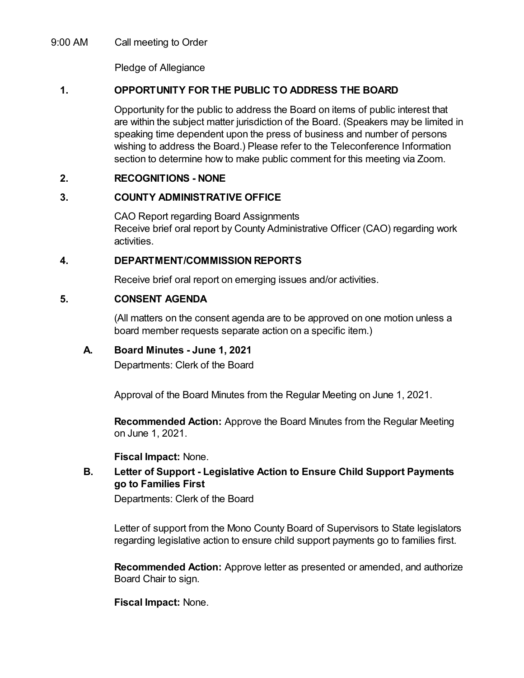9:00 AM Call meeting to Order

Pledge of Allegiance

# **1. OPPORTUNITY FOR THE PUBLIC TO ADDRESS THE BOARD**

Opportunity for the public to address the Board on items of public interest that are within the subject matter jurisdiction of the Board. (Speakers may be limited in speaking time dependent upon the press of business and number of persons wishing to address the Board.) Please refer to the Teleconference Information section to determine how to make public comment for this meeting via Zoom.

# **2. RECOGNITIONS - NONE**

# **3. COUNTY ADMINISTRATIVE OFFICE**

CAO Report regarding Board Assignments Receive brief oral report by County Administrative Officer (CAO) regarding work activities.

# **4. DEPARTMENT/COMMISSION REPORTS**

Receive brief oral report on emerging issues and/or activities.

# **5. CONSENT AGENDA**

(All matters on the consent agenda are to be approved on one motion unless a board member requests separate action on a specific item.)

# **A. Board Minutes - June 1, 2021**

Departments: Clerk of the Board

Approval of the Board Minutes from the Regular Meeting on June 1, 2021.

**Recommended Action:** Approve the Board Minutes from the Regular Meeting on June 1, 2021.

#### **Fiscal Impact:** None.

# **B. Letter of Support - Legislative Action to Ensure Child Support Payments go to Families First**

Departments: Clerk of the Board

Letter of support from the Mono County Board of Supervisors to State legislators regarding legislative action to ensure child support payments go to families first.

**Recommended Action:** Approve letter as presented or amended, and authorize Board Chair to sign.

**Fiscal Impact:** None.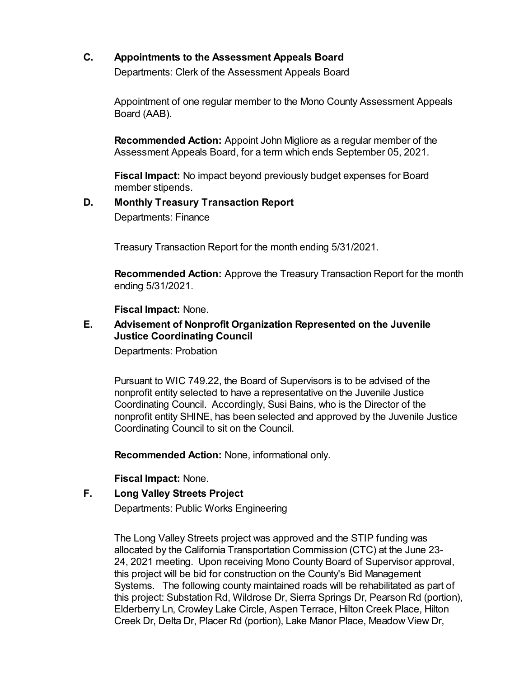# **C. Appointments to the Assessment Appeals Board**

Departments: Clerk of the Assessment Appeals Board

Appointment of one regular member to the Mono County Assessment Appeals Board (AAB).

**Recommended Action:** Appoint John Migliore as a regular member of the Assessment Appeals Board, for a term which ends September 05, 2021.

**Fiscal Impact:** No impact beyond previously budget expenses for Board member stipends.

# **D. Monthly Treasury Transaction Report**

Departments: Finance

Treasury Transaction Report for the month ending 5/31/2021.

**Recommended Action:** Approve the Treasury Transaction Report for the month ending 5/31/2021.

**Fiscal Impact:** None.

#### **E. Advisement of Nonprofit Organization Represented on the Juvenile Justice Coordinating Council**

Departments: Probation

Pursuant to WIC 749.22, the Board of Supervisors is to be advised of the nonprofit entity selected to have a representative on the Juvenile Justice Coordinating Council. Accordingly, Susi Bains, who is the Director of the nonprofit entity SHINE, has been selected and approved by the Juvenile Justice Coordinating Council to sit on the Council.

**Recommended Action:** None, informational only.

**Fiscal Impact:** None.

#### **F. Long Valley Streets Project**

Departments: Public Works Engineering

The Long Valley Streets project was approved and the STIP funding was allocated by the California Transportation Commission (CTC) at the June 23- 24, 2021 meeting. Upon receiving Mono County Board of Supervisor approval, this project will be bid for construction on the County's Bid Management Systems. The following county maintained roads will be rehabilitated as part of this project: Substation Rd, Wildrose Dr, Sierra Springs Dr, Pearson Rd (portion), Elderberry Ln, Crowley Lake Circle, Aspen Terrace, Hilton Creek Place, Hilton Creek Dr, Delta Dr, Placer Rd (portion), Lake Manor Place, Meadow View Dr,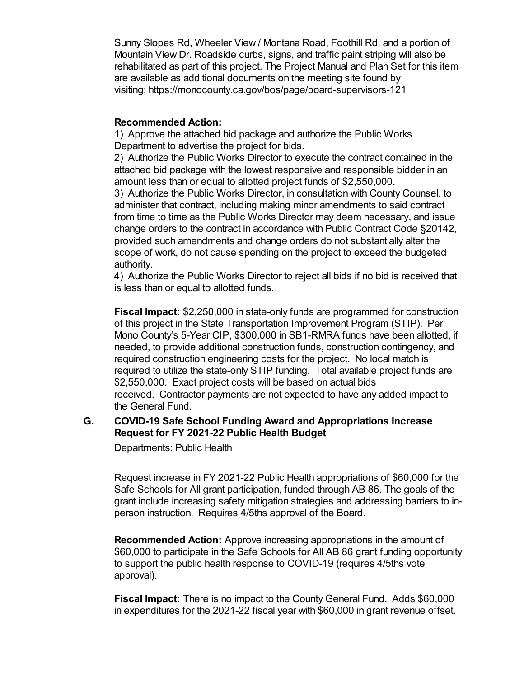Sunny Slopes Rd, Wheeler View / Montana Road, Foothill Rd, and a portion of Mountain View Dr. Roadside curbs, signs, and traffic paint striping will also be rehabilitated as part of this project. The Project Manual and Plan Set for this item are available as additional documents on the meeting site found by visiting: https://monocounty.ca.gov/bos/page/board-supervisors-121

#### **Recommended Action:**

1) Approve the attached bid package and authorize the Public Works Department to advertise the project for bids.

2) Authorize the Public Works Director to execute the contract contained in the attached bid package with the lowest responsive and responsible bidder in an amount less than or equal to allotted project funds of \$2,550,000.

3) Authorize the Public Works Director, in consultation with County Counsel, to administer that contract, including making minor amendments to said contract from time to time as the Public Works Director may deem necessary, and issue change orders to the contract in accordance with Public Contract Code §20142, provided such amendments and change orders do not substantially alter the scope of work, do not cause spending on the project to exceed the budgeted authority.

4) Authorize the Public Works Director to reject all bids if no bid is received that is less than or equal to allotted funds.

**Fiscal Impact:** \$2,250,000 in state-only funds are programmed for construction of this project in the State Transportation Improvement Program (STIP). Per Mono County's 5-Year CIP, \$300,000 in SB1-RMRA funds have been allotted, if needed, to provide additional construction funds, construction contingency, and required construction engineering costs for the project. No local match is required to utilize the state-only STIP funding. Total available project funds are \$2,550,000. Exact project costs will be based on actual bids received. Contractor payments are not expected to have any added impact to the General Fund.

#### **G. COVID-19 Safe School Funding Award and Appropriations Increase Request for FY 2021-22 Public Health Budget**

Departments: Public Health

Request increase in FY 2021-22 Public Health appropriations of \$60,000 for the Safe Schools for All grant participation, funded through AB 86. The goals of the grant include increasing safety mitigation strategies and addressing barriers to inperson instruction. Requires 4/5ths approval of the Board.

**Recommended Action:** Approve increasing appropriations in the amount of \$60,000 to participate in the Safe Schools for All AB 86 grant funding opportunity to support the public health response to COVID-19 (requires 4/5ths vote approval).

**Fiscal Impact:** There is no impact to the County General Fund. Adds \$60,000 in expenditures for the 2021-22 fiscal year with \$60,000 in grant revenue offset.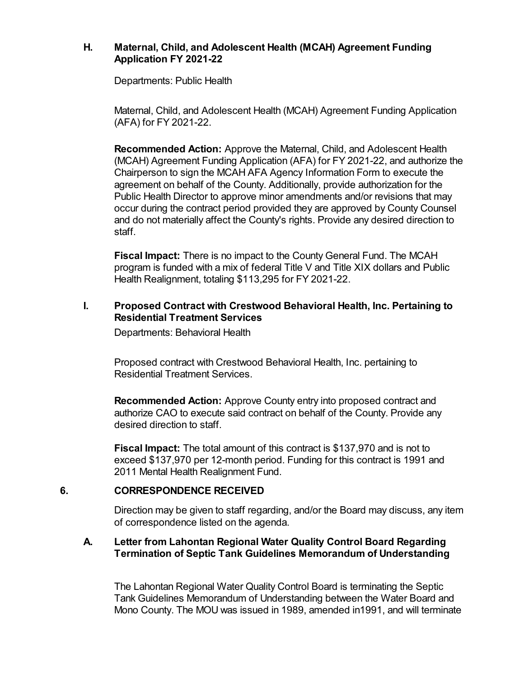#### **H. Maternal, Child, and Adolescent Health (MCAH) Agreement Funding Application FY 2021-22**

Departments: Public Health

Maternal, Child, and Adolescent Health (MCAH) Agreement Funding Application (AFA) for FY 2021-22.

**Recommended Action:** Approve the Maternal, Child, and Adolescent Health (MCAH) Agreement Funding Application (AFA) for FY 2021-22, and authorize the Chairperson to sign the MCAH AFA Agency Information Form to execute the agreement on behalf of the County. Additionally, provide authorization for the Public Health Director to approve minor amendments and/or revisions that may occur during the contract period provided they are approved by County Counsel and do not materially affect the County's rights. Provide any desired direction to staff.

**Fiscal Impact:** There is no impact to the County General Fund. The MCAH program is funded with a mix of federal Title V and Title XIX dollars and Public Health Realignment, totaling \$113,295 for FY 2021-22.

#### **I. Proposed Contract with Crestwood Behavioral Health, Inc. Pertaining to Residential Treatment Services**

Departments: Behavioral Health

Proposed contract with Crestwood Behavioral Health, Inc. pertaining to Residential Treatment Services.

**Recommended Action:** Approve County entry into proposed contract and authorize CAO to execute said contract on behalf of the County. Provide any desired direction to staff.

**Fiscal Impact:** The total amount of this contract is \$137,970 and is not to exceed \$137,970 per 12-month period. Funding for this contract is 1991 and 2011 Mental Health Realignment Fund.

#### **6. CORRESPONDENCE RECEIVED**

Direction may be given to staff regarding, and/or the Board may discuss, any item of correspondence listed on the agenda.

#### **A. Letter from Lahontan Regional Water Quality Control Board Regarding Termination of Septic Tank Guidelines Memorandum of Understanding**

The Lahontan Regional Water Quality Control Board is terminating the Septic Tank Guidelines Memorandum of Understanding between the Water Board and Mono County. The MOU was issued in 1989, amended in1991, and will terminate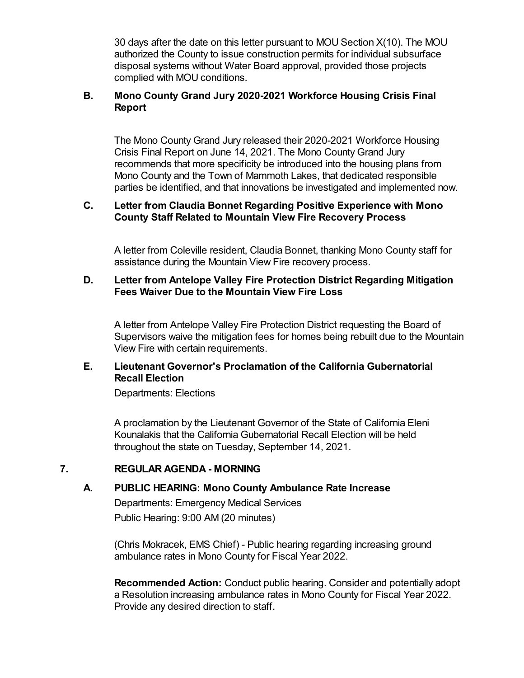30 days after the date on this letter pursuant to MOU Section X(10). The MOU authorized the County to issue construction permits for individual subsurface disposal systems without Water Board approval, provided those projects complied with MOU conditions.

# **B. Mono County Grand Jury 2020-2021 Workforce Housing Crisis Final Report**

The Mono County Grand Jury released their 2020-2021 Workforce Housing Crisis Final Report on June 14, 2021. The Mono County Grand Jury recommends that more specificity be introduced into the housing plans from Mono County and the Town of Mammoth Lakes, that dedicated responsible parties be identified, and that innovations be investigated and implemented now.

#### **C. Letter from Claudia Bonnet Regarding Positive Experience with Mono County Staff Related to Mountain View Fire Recovery Process**

A letter from Coleville resident, Claudia Bonnet, thanking Mono County staff for assistance during the Mountain View Fire recovery process.

#### **D. Letter from Antelope Valley Fire Protection District Regarding Mitigation Fees Waiver Due to the Mountain View Fire Loss**

A letter from Antelope Valley Fire Protection District requesting the Board of Supervisors waive the mitigation fees for homes being rebuilt due to the Mountain View Fire with certain requirements.

# **E. Lieutenant Governor's Proclamation of the California Gubernatorial Recall Election**

Departments: Elections

A proclamation by the Lieutenant Governor of the State of California Eleni Kounalakis that the California Gubernatorial Recall Election will be held throughout the state on Tuesday, September 14, 2021.

# **7. REGULAR AGENDA - MORNING**

# **A. PUBLIC HEARING: Mono County Ambulance Rate Increase**

Departments: Emergency Medical Services Public Hearing: 9:00 AM (20 minutes)

(Chris Mokracek, EMS Chief) - Public hearing regarding increasing ground ambulance rates in Mono County for Fiscal Year 2022.

**Recommended Action:** Conduct public hearing. Consider and potentially adopt a Resolution increasing ambulance rates in Mono County for Fiscal Year 2022. Provide any desired direction to staff.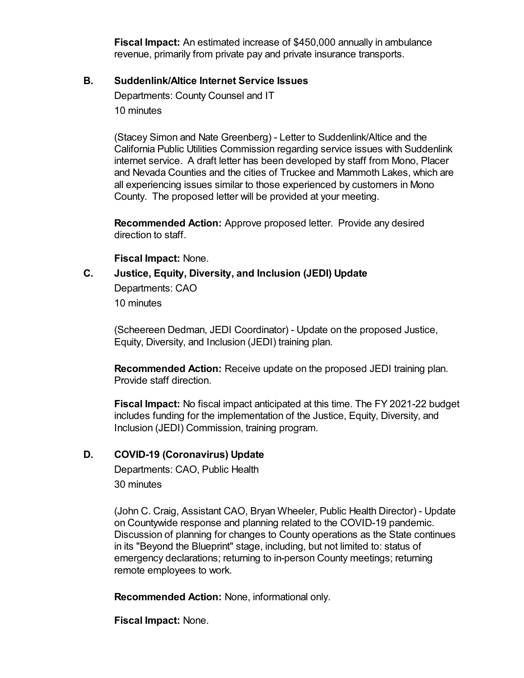**Fiscal Impact:** An estimated increase of \$450,000 annually in ambulance revenue, primarily from private pay and private insurance transports.

#### **B. Suddenlink/Altice Internet Service Issues**

Departments: County Counsel and IT 10 minutes

(Stacey Simon and Nate Greenberg) - Letter to Suddenlink/Altice and the California Public Utilities Commission regarding service issues with Suddenlink internet service. A draft letter has been developed by staff from Mono, Placer and Nevada Counties and the cities of Truckee and Mammoth Lakes, which are all experiencing issues similar to those experienced by customers in Mono County. The proposed letter will be provided at your meeting.

**Recommended Action:** Approve proposed letter. Provide any desired direction to staff.

**Fiscal Impact:** None.

#### **C. Justice, Equity, Diversity, and Inclusion (JEDI) Update**

Departments: CAO 10 minutes

(Scheereen Dedman, JEDI Coordinator) - Update on the proposed Justice, Equity, Diversity, and Inclusion (JEDI) training plan.

**Recommended Action:** Receive update on the proposed JEDI training plan. Provide staff direction.

**Fiscal Impact:** No fiscal impact anticipated at this time. The FY 2021-22 budget includes funding for the implementation of the Justice, Equity, Diversity, and Inclusion (JEDI) Commission, training program.

#### **D. COVID-19 (Coronavirus) Update**

Departments: CAO, Public Health 30 minutes

(John C. Craig, Assistant CAO, Bryan Wheeler, Public Health Director) - Update on Countywide response and planning related to the COVID-19 pandemic. Discussion of planning for changes to County operations as the State continues in its "Beyond the Blueprint" stage, including, but not limited to: status of emergency declarations; returning to in-person County meetings; returning remote employees to work.

**Recommended Action:** None, informational only.

**Fiscal Impact:** None.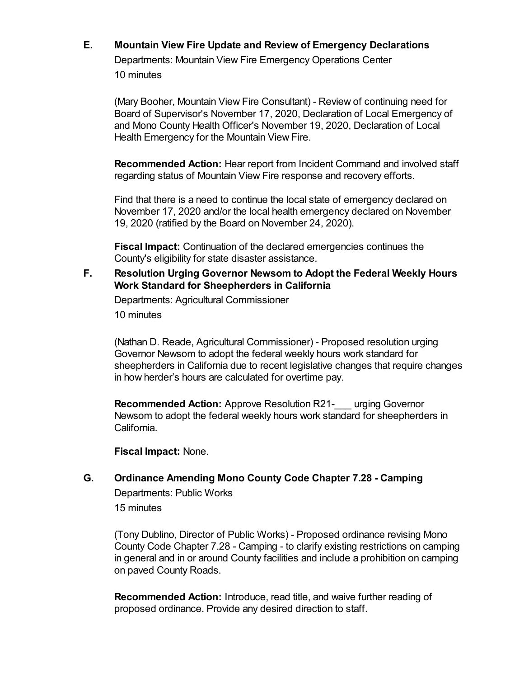# **E. Mountain View Fire Update and Review of Emergency Declarations** Departments: Mountain View Fire Emergency Operations Center

10 minutes

(Mary Booher, Mountain View Fire Consultant) - Review of continuing need for Board of Supervisor's November 17, 2020, Declaration of Local Emergency of and Mono County Health Officer's November 19, 2020, Declaration of Local Health Emergency for the Mountain View Fire.

**Recommended Action:** Hear report from Incident Command and involved staff regarding status of Mountain View Fire response and recovery efforts.

Find that there is a need to continue the local state of emergency declared on November 17, 2020 and/or the local health emergency declared on November 19, 2020 (ratified by the Board on November 24, 2020).

**Fiscal Impact:** Continuation of the declared emergencies continues the County's eligibility for state disaster assistance.

#### **F. Resolution Urging Governor Newsom to Adopt the Federal Weekly Hours Work Standard for Sheepherders in California**

Departments: Agricultural Commissioner

10 minutes

(Nathan D. Reade, Agricultural Commissioner) - Proposed resolution urging Governor Newsom to adopt the federal weekly hours work standard for sheepherders in California due to recent legislative changes that require changes in how herder's hours are calculated for overtime pay.

**Recommended Action:** Approve Resolution R21-\_\_\_ urging Governor Newsom to adopt the federal weekly hours work standard for sheepherders in California.

**Fiscal Impact:** None.

**G. Ordinance Amending Mono County Code Chapter 7.28 - Camping** Departments: Public Works

15 minutes

(Tony Dublino, Director of Public Works) - Proposed ordinance revising Mono County Code Chapter 7.28 - Camping - to clarify existing restrictions on camping in general and in or around County facilities and include a prohibition on camping on paved County Roads.

**Recommended Action:** Introduce, read title, and waive further reading of proposed ordinance. Provide any desired direction to staff.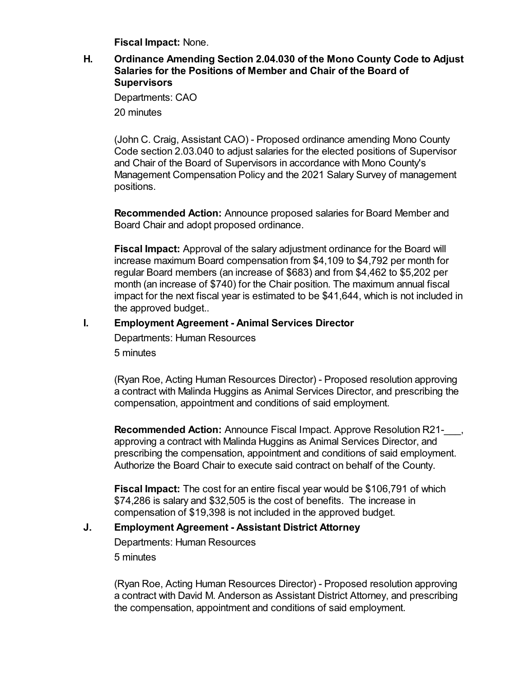**Fiscal Impact:** None.

#### **H. Ordinance Amending Section 2.04.030 of the Mono County Code to Adjust Salaries for the Positions of Member and Chair of the Board of Supervisors**

Departments: CAO 20 minutes

(John C. Craig, Assistant CAO) - Proposed ordinance amending Mono County Code section 2.03.040 to adjust salaries for the elected positions of Supervisor and Chair of the Board of Supervisors in accordance with Mono County's Management Compensation Policy and the 2021 Salary Survey of management positions.

**Recommended Action:** Announce proposed salaries for Board Member and Board Chair and adopt proposed ordinance.

**Fiscal Impact:** Approval of the salary adjustment ordinance for the Board will increase maximum Board compensation from \$4,109 to \$4,792 per month for regular Board members (an increase of \$683) and from \$4,462 to \$5,202 per month (an increase of \$740) for the Chair position. The maximum annual fiscal impact for the next fiscal year is estimated to be \$41,644, which is not included in the approved budget..

# **I. Employment Agreement - Animal Services Director**

Departments: Human Resources

5 minutes

(Ryan Roe, Acting Human Resources Director) - Proposed resolution approving a contract with Malinda Huggins as Animal Services Director, and prescribing the compensation, appointment and conditions of said employment.

**Recommended Action:** Announce Fiscal Impact. Approve Resolution R21-<br>
, approving a contract with Malinda Huggins as Animal Services Director, and prescribing the compensation, appointment and conditions of said employment. Authorize the Board Chair to execute said contract on behalf of the County.

**Fiscal Impact:** The cost for an entire fiscal year would be \$106,791 of which \$74,286 is salary and \$32,505 is the cost of benefits. The increase in compensation of \$19,398 is not included in the approved budget.

# **J. Employment Agreement - Assistant District Attorney**

Departments: Human Resources

5 minutes

(Ryan Roe, Acting Human Resources Director) - Proposed resolution approving a contract with David M. Anderson as Assistant District Attorney, and prescribing the compensation, appointment and conditions of said employment.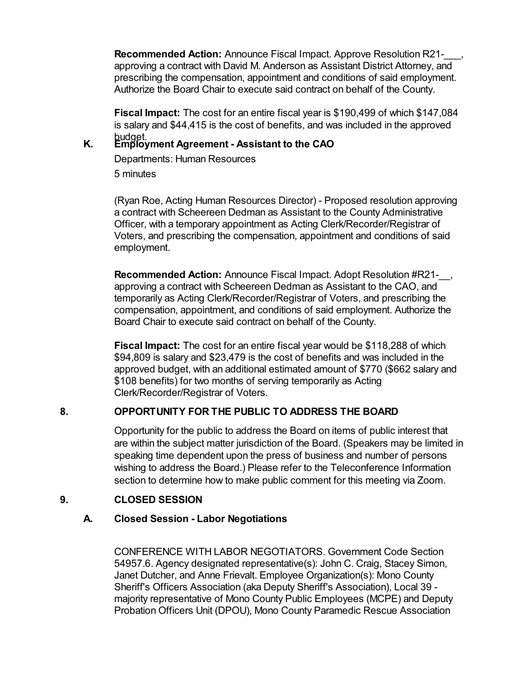**Recommended Action:** Announce Fiscal Impact. Approve Resolution R21-\_\_\_, approving a contract with David M. Anderson as Assistant District Attorney, and prescribing the compensation, appointment and conditions of said employment. Authorize the Board Chair to execute said contract on behalf of the County.

**Fiscal Impact:** The cost for an entire fiscal year is \$190,499 of which \$147,084 is salary and \$44,415 is the cost of benefits, and was included in the approved

# budget. **K. Employment Agreement - Assistant to the CAO**

Departments: Human Resources

5 minutes

(Ryan Roe, Acting Human Resources Director) - Proposed resolution approving a contract with Scheereen Dedman as Assistant to the County Administrative Officer, with a temporary appointment as Acting Clerk/Recorder/Registrar of Voters, and prescribing the compensation, appointment and conditions of said employment.

**Recommended Action:** Announce Fiscal Impact. Adopt Resolution #R21-\_\_, approving a contract with Scheereen Dedman as Assistant to the CAO, and temporarily as Acting Clerk/Recorder/Registrar of Voters, and prescribing the compensation, appointment, and conditions of said employment. Authorize the Board Chair to execute said contract on behalf of the County.

**Fiscal Impact:** The cost for an entire fiscal year would be \$118,288 of which \$94,809 is salary and \$23,479 is the cost of benefits and was included in the approved budget, with an additional estimated amount of \$770 (\$662 salary and \$108 benefits) for two months of serving temporarily as Acting Clerk/Recorder/Registrar of Voters.

# **8. OPPORTUNITY FOR THE PUBLIC TO ADDRESS THE BOARD**

Opportunity for the public to address the Board on items of public interest that are within the subject matter jurisdiction of the Board. (Speakers may be limited in speaking time dependent upon the press of business and number of persons wishing to address the Board.) Please refer to the Teleconference Information section to determine how to make public comment for this meeting via Zoom.

# **9. CLOSED SESSION**

# **A. Closed Session - Labor Negotiations**

CONFERENCE WITH LABOR NEGOTIATORS. Government Code Section 54957.6. Agency designated representative(s): John C. Craig, Stacey Simon, Janet Dutcher, and Anne Frievalt. Employee Organization(s): Mono County Sheriff's Officers Association (aka Deputy Sheriff's Association), Local 39 majority representative of Mono County Public Employees (MCPE) and Deputy Probation Officers Unit (DPOU), Mono County Paramedic Rescue Association